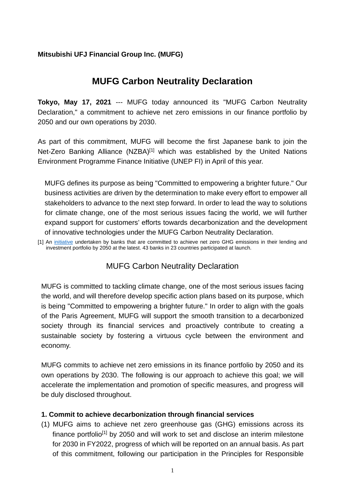## **Mitsubishi UFJ Financial Group Inc. (MUFG)**

# **MUFG Carbon Neutrality Declaration**

**Tokyo, May 17, 2021** --- MUFG today announced its "MUFG Carbon Neutrality Declaration," a commitment to achieve net zero emissions in our finance portfolio by 2050 and our own operations by 2030.

As part of this commitment, MUFG will become the first Japanese bank to join the Net-Zero Banking Alliance (NZBA)<sup>[1]</sup> which was established by the United Nations Environment Programme Finance Initiative (UNEP FI) in April of this year.

MUFG defines its purpose as being "Committed to empowering a brighter future." Our business activities are driven by the determination to make every effort to empower all stakeholders to advance to the next step forward. In order to lead the way to solutions for climate change, one of the most serious issues facing the world, we will further expand support for customers' efforts towards decarbonization and the development of innovative technologies under the MUFG Carbon Neutrality Declaration.

[1] An [initiative](https://www.unepfi.org/net-zero-banking/) undertaken by banks that are committed to achieve net zero GHG emissions in their lending and investment portfolio by 2050 at the latest. 43 banks in 23 countries participated at launch.

# MUFG Carbon Neutrality Declaration

MUFG is committed to tackling climate change, one of the most serious issues facing the world, and will therefore develop specific action plans based on its purpose, which is being "Committed to empowering a brighter future." In order to align with the goals of the Paris Agreement, MUFG will support the smooth transition to a decarbonized society through its financial services and proactively contribute to creating a sustainable society by fostering a virtuous cycle between the environment and economy.

MUFG commits to achieve net zero emissions in its finance portfolio by 2050 and its own operations by 2030. The following is our approach to achieve this goal; we will accelerate the implementation and promotion of specific measures, and progress will be duly disclosed throughout.

#### **1. Commit to achieve decarbonization through financial services**

(1) MUFG aims to achieve net zero greenhouse gas (GHG) emissions across its finance portfolio<sup>[1]</sup> by 2050 and will work to set and disclose an interim milestone for 2030 in FY2022, progress of which will be reported on an annual basis. As part of this commitment, following our participation in the Principles for Responsible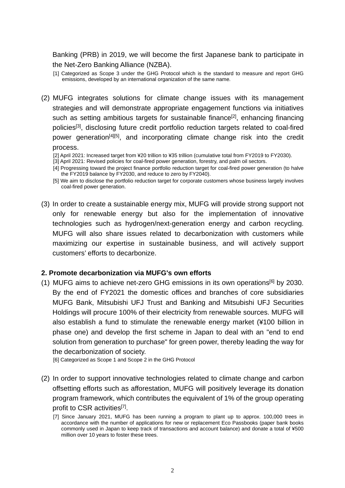Banking (PRB) in 2019, we will become the first Japanese bank to participate in the Net-Zero Banking Alliance (NZBA).

[1] Categorized as Scope 3 under the GHG Protocol which is the standard to measure and report GHG emissions, developed by an international organization of the same name*.*

- (2) MUFG integrates solutions for climate change issues with its management strategies and will demonstrate appropriate engagement functions via initiatives such as setting ambitious targets for sustainable finance<sup>[2]</sup>, enhancing financing policies[3], disclosing future credit portfolio reduction targets related to coal-fired power generation<sup>[4][5]</sup>, and incorporating climate change risk into the credit process.
	- [2] April 2021: Increased target from ¥20 trillion to ¥35 trillion (cumulative total from FY2019 to FY2030).
	- [3] April 2021: Revised policies for coal-fired power generation, forestry, and palm oil sectors.
	- [4] Progressing toward the project finance portfolio reduction target for coal-fired power generation (to halve the FY2019 balance by FY2030, and reduce to zero by FY2040).
	- [5] We aim to disclose the portfolio reduction target for corporate customers whose business largely involves coal-fired power generation.
- (3) In order to create a sustainable energy mix, MUFG will provide strong support not only for renewable energy but also for the implementation of innovative technologies such as hydrogen/next-generation energy and carbon recycling. MUFG will also share issues related to decarbonization with customers while maximizing our expertise in sustainable business, and will actively support customers' efforts to decarbonize.

#### **2. Promote decarbonization via MUFG's own efforts**

(1) MUFG aims to achieve net-zero GHG emissions in its own operations<sup>[6]</sup> by 2030. By the end of FY2021 the domestic offices and branches of core subsidiaries MUFG Bank, Mitsubishi UFJ Trust and Banking and Mitsubishi UFJ Securities Holdings will procure 100% of their electricity from renewable sources. MUFG will also establish a fund to stimulate the renewable energy market (¥100 billion in phase one) and develop the first scheme in Japan to deal with an "end to end solution from generation to purchase" for green power, thereby leading the way for the decarbonization of society.

[6] Categorized as Scope 1 and Scope 2 in the GHG Protocol

(2) In order to support innovative technologies related to climate change and carbon offsetting efforts such as afforestation, MUFG will positively leverage its donation program framework, which contributes the equivalent of 1% of the group operating profit to CSR activities<sup>[7]</sup>.

<sup>[7]</sup> Since January 2021, MUFG has been running a program to plant up to approx. 100,000 trees in accordance with the number of applications for new or replacement Eco Passbooks (paper bank books commonly used in Japan to keep track of transactions and account balance) and donate a total of ¥500 million over 10 years to foster these trees.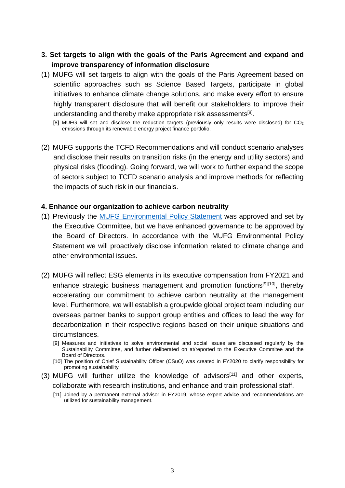## **3. Set targets to align with the goals of the Paris Agreement and expand and improve transparency of information disclosure**

(1) MUFG will set targets to align with the goals of the Paris Agreement based on scientific approaches such as Science Based Targets, participate in global initiatives to enhance climate change solutions, and make every effort to ensure highly transparent disclosure that will benefit our stakeholders to improve their understanding and thereby make appropriate risk assessments<sup>[8]</sup>.

[8] MUFG will set and disclose the reduction targets (previously only results were disclosed) for CO<sub>2</sub> emissions through its renewable energy project finance portfolio.

(2) MUFG supports the TCFD Recommendations and will conduct scenario analyses and disclose their results on transition risks (in the energy and utility sectors) and physical risks (flooding). Going forward, we will work to further expand the scope of sectors subject to TCFD scenario analysis and improve methods for reflecting the impacts of such risk in our financials.

#### **4. Enhance our organization to achieve carbon neutrality**

- (1) Previously the [MUFG Environmental Policy Statement](https://www.mufg.jp/english/csr/policy/index.html) was approved and set by the Executive Committee, but we have enhanced governance to be approved by the Board of Directors. In accordance with the MUFG Environmental Policy Statement we will proactively disclose information related to climate change and other environmental issues.
- (2) MUFG will reflect ESG elements in its executive compensation from FY2021 and enhance strategic business management and promotion functions<sup>[9][10]</sup>, thereby accelerating our commitment to achieve carbon neutrality at the management level. Furthermore, we will establish a groupwide global project team including our overseas partner banks to support group entities and offices to lead the way for decarbonization in their respective regions based on their unique situations and circumstances.
	- [9] Measures and initiatives to solve environmental and social issues are discussed regularly by the Sustainability Committee, and further deliberated on at/reported to the Executive Commitee and the Board of Directors.
	- [10] The position of Chief Sustainability Officer (CSuO) was created in FY2020 to clarify responsibility for promoting sustainability.
- (3) MUFG will further utilize the knowledge of advisors<sup>[11]</sup> and other experts, collaborate with research institutions, and enhance and train professional staff.
	- [11] Joined by a permanent external advisor in FY2019, whose expert advice and recommendations are utilized for sustainability management.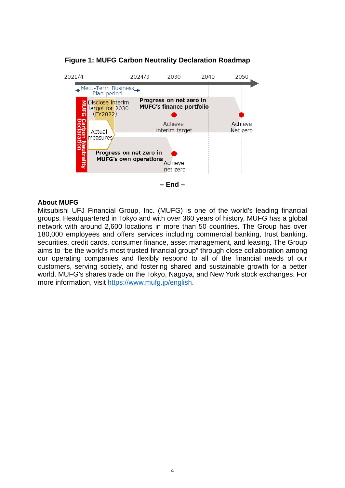

**Figure 1: MUFG Carbon Neutrality Declaration Roadmap**

**– End –**

#### **About MUFG**

Mitsubishi UFJ Financial Group, Inc. (MUFG) is one of the world's leading financial groups. Headquartered in Tokyo and with over 360 years of history, MUFG has a global network with around 2,600 locations in more than 50 countries. The Group has over 180,000 employees and offers services including commercial banking, trust banking, securities, credit cards, consumer finance, asset management, and leasing. The Group aims to "be the world's most trusted financial group" through close collaboration among our operating companies and flexibly respond to all of the financial needs of our customers, serving society, and fostering shared and sustainable growth for a better world. MUFG's shares trade on the Tokyo, Nagoya, and New York stock exchanges. For more information, visit [https://www.mufg.jp/english.](https://www.mufg.jp/english)